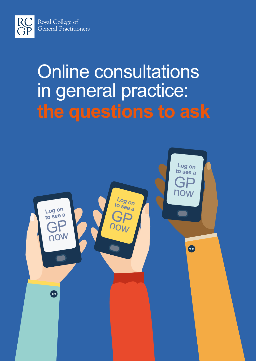

RC<br>GP

# Online consultations in general practice: **the questions to ask**

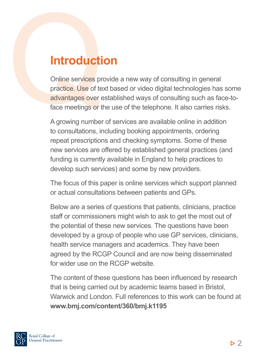# **Introduction**

Online services provide a new way of consulting in general practice. Use of text based or video digital technologies has some advantages over established ways of consulting such as face-toface meetings or the use of the telephone. It also carries risks.

A growing number of services are available online in addition to consultations, including booking appointments, ordering repeat prescriptions and checking symptoms. Some of these new services are offered by established general practices (and funding is currently available in England to help practices to develop such services) and some by new providers.

The focus of this paper is online services which support planned or actual consultations between patients and GPs.

Below are a series of questions that patients, clinicians, practice staff or commissioners might wish to ask to get the most out of the potential of these new services. The questions have been developed by a group of people who use GP services, clinicians, health service managers and academics. They have been agreed by the RCGP Council and are now being disseminated for wider use on the RCGP website.

The content of these questions has been influenced by research that is being carried out by academic teams based in Bristol, Warwick and London. Full references to this work can be found at **www.bmj.com/content/360/bmj.k1195**

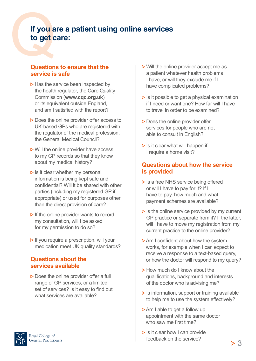# **If you are a patient using online services to get care:**

#### **Questions to ensure that the service is safe**

- $\triangleright$  Has the service been inspected by the health regulator, the Care Quality Commission (**www.cqc.org.uk**) or its equivalent outside England, and am I satisfied with the report?
- $\triangleright$  Does the online provider offer access to UK-based GPs who are registered with the regulator of the medical profession, the General Medical Council?
- $\triangleright$  Will the online provider have access to my GP records so that they know about my medical history?
- $\triangleright$  Is it clear whether my personal information is being kept safe and confidential? Will it be shared with other parties (including my registered GP if appropriate) or used for purposes other than the direct provision of care?
- $\triangleright$  If the online provider wants to record my consultation, will I be asked for my permission to do so?
- $\triangleright$  If you require a prescription, will your medication meet UK quality standards?

#### **Questions about the services available**

- $\triangleright$  Does the online provider offer a full range of GP services, or a limited set of services? Is it easy to find out what services are available?
- Royal College of General Practitioners
- $\triangleright$  Will the online provider accept me as a patient whatever health problems I have, or will they exclude me if I have complicated problems?
- $\triangleright$  Is it possible to get a physical examination if I need or want one? How far will I have to travel in order to be examined?
- $\triangleright$  Does the online provider offer services for people who are not able to consult in English?
- $\triangleright$  Is it clear what will happen if I require a home visit?

#### **Questions about how the service is provided**

- $\triangleright$  Is a free NHS service being offered or will I have to pay for it? If I have to pay, how much and what payment schemes are available?
- $\triangleright$  Is the online service provided by my current GP practice or separate from it? If the latter, will I have to move my registration from my current practice to the online provider?
- $\triangleright$  Am I confident about how the system works, for example when I can expect to receive a response to a text-based query, or how the doctor will respond to my query?
- $\triangleright$  How much do I know about the qualifications, background and interests of the doctor who is advising me?
- $\triangleright$  Is information, support or training available to help me to use the system effectively?
- $\triangleright$  Am I able to get a follow up appointment with the same doctor who saw me first time?
- $\triangleright$  Is it clear how I can provide feedback on the service?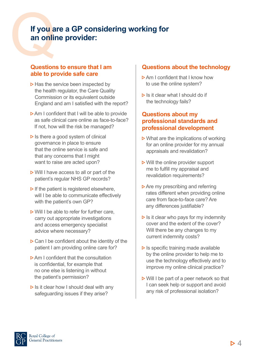# **If you are a GP considering working for an online provider:**

#### **Questions to ensure that I am able to provide safe care**

- $\triangleright$  Has the service been inspected by the health regulator, the Care Quality Commission or its equivalent outside England and am I satisfied with the report?
- $\triangleright$  Am I confident that I will be able to provide as safe clinical care online as face-to-face? If not, how will the risk be managed?
- $\triangleright$  Is there a good system of clinical governance in place to ensure that the online service is safe and that any concerns that I might want to raise are acted upon?
- $\triangleright$  Will I have access to all or part of the patient's regular NHS GP records?
- $\triangleright$  If the patient is registered elsewhere, will I be able to communicate effectively with the patient's own GP?
- $\triangleright$  Will I be able to refer for further care, carry out appropriate investigations and access emergency specialist advice where necessary?
- $\triangleright$  Can I be confident about the identity of the patient I am providing online care for?
- **D Am I confident that the consultation** is confidential, for example that no one else is listening in without the patient's permission?
- $\triangleright$  Is it clear how I should deal with any safeguarding issues if they arise?

#### **Questions about the technology**

- $\triangleright$  Am I confident that I know how to use the online system?
- $\triangleright$  Is it clear what I should do if the technology fails?

#### **Questions about my professional standards and professional development**

- $\triangleright$  What are the implications of working for an online provider for my annual appraisals and revalidation?
- $\triangleright$  Will the online provider support me to fulfill my appraisal and revalidation requirements?
- $\triangleright$  Are my prescribing and referring rates different when providing online care from face-to-face care? Are any differences justifiable?
- $\triangleright$  Is it clear who pays for my indemnity cover and the extent of the cover? Will there be any changes to my current indemnity costs?
- $\triangleright$  Is specific training made available by the online provider to help me to use the technology effectively and to improve my online clinical practice?
- ▶ Will I be part of a peer network so that I can seek help or support and avoid any risk of professional isolation?

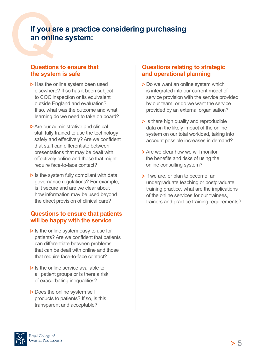# **If you are a practice considering purchasing an online system:**

#### **Questions to ensure that the system is safe**

- $\triangleright$  Has the online system been used elsewhere? If so has it been subject to CQC inspection or its equivalent outside England and evaluation? If so, what was the outcome and what learning do we need to take on board?
- $\triangleright$  Are our administrative and clinical staff fully trained to use the technology safely and effectively? Are we confident that staff can differentiate between presentations that may be dealt with effectively online and those that might require face-to-face contact?
- $\triangleright$  Is the system fully compliant with data governance regulations? For example, is it secure and are we clear about how information may be used beyond the direct provision of clinical care?

#### **Questions to ensure that patients will be happy with the service**

- $\triangleright$  Is the online system easy to use for patients? Are we confident that patients can differentiate between problems that can be dealt with online and those that require face-to-face contact?
- $\triangleright$  Is the online service available to all patient groups or is there a risk of exacerbating inequalities?
- $\triangleright$  Does the online system sell products to patients? If so, is this transparent and acceptable?

#### **Questions relating to strategic and operational planning**

- $\triangleright$  Do we want an online system which is integrated into our current model of service provision with the service provided by our team, or do we want the service provided by an external organisation?
- $\triangleright$  Is there high quality and reproducible data on the likely impact of the online system on our total workload, taking into account possible increases in demand?
- $\triangleright$  Are we clear how we will monitor the benefits and risks of using the online consulting system?
- $\triangleright$  If we are, or plan to become, an undergraduate teaching or postgraduate training practice, what are the implications of the online services for our trainees, trainers and practice training requirements?

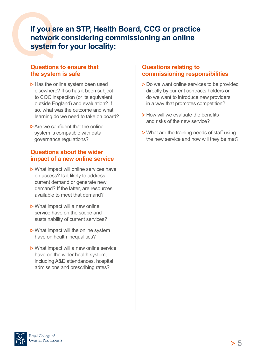### **If you are an STP, Health Board, CCG or practice network considering commissioning an online system for your locality:**

#### **Questions to ensure that the system is safe**

- $\triangleright$  Has the online system been used elsewhere? If so has it been subject to CQC inspection (or its equivalent outside England) and evaluation? If so, what was the outcome and what learning do we need to take on board?
- $\triangleright$  Are we confident that the online system is compatible with data governance regulations?

#### **Questions about the wider impact of a new online service**

- $\triangleright$  What impact will online services have on access? Is it likely to address current demand or generate new demand? If the latter, are resources available to meet that demand?
- $\triangleright$  What impact will a new online service have on the scope and sustainability of current services?
- $\triangleright$  What impact will the online system have on health inequalities?
- $\triangleright$  What impact will a new online service have on the wider health system, including A&E attendances, hospital admissions and prescribing rates?

#### **Questions relating to commissioning responsibilities**

- $\triangleright$  Do we want online services to be provided directly by current contracts holders or do we want to introduce new providers in a way that promotes competition?
- $\triangleright$  How will we evaluate the benefits and risks of the new service?
- $\triangleright$  What are the training needs of staff using the new service and how will they be met?